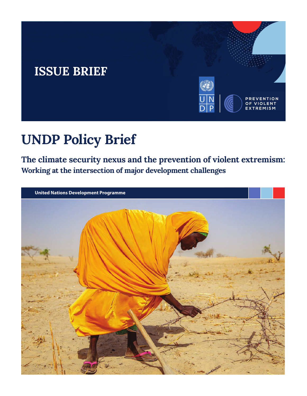# **ISSUE BRIEF**



# **UNDP Policy Brief**

**The climate security nexus and the prevention of violent extremism: Working at the intersection of major development challenges**

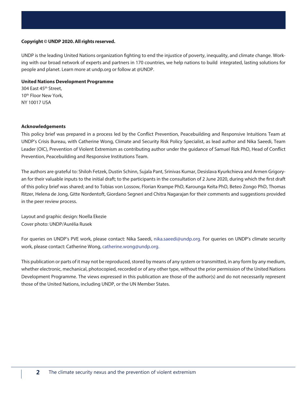#### **Copyright © UNDP 2020. All rights reserved.**

UNDP is the leading United Nations organization fighting to end the injustice of poverty, inequality, and climate change. Working with our broad network of experts and partners in 170 countries, we help nations to build integrated, lasting solutions for people and planet. Learn more at undp.org or follow at @UNDP.

#### **United Nations Development Programme**

304 East 45th Street, 10<sup>th</sup> Floor New York, NY 10017 USA

#### **Acknowledgements**

This policy brief was prepared in a process led by the Conflict Prevention, Peacebuilding and Responsive Intuitions Team at UNDP's Crisis Bureau, with Catherine Wong, Climate and Security Risk Policy Specialist, as lead author and Nika Saeedi, Team Leader (OIC), Prevention of Violent Extremism as contributing author under the guidance of Samuel Rizk PhD, Head of Conflict Prevention, Peacebuilding and Responsive Institutions Team.

The authors are grateful to: Shiloh Fetzek, Dustin Schinn, Sujala Pant, Srinivas Kumar, Desislava Kyurkchieva and Armen Grigoryan for their valuable inputs to the initial draft; to the participants in the consultation of 2 June 2020, during which the first draft of this policy brief was shared; and to Tobias von Lossow, Florian Krampe PhD, Karounga Keïta PhD, Beteo Zongo PhD, Thomas Ritzer, Helena de Jong, Gitte Nordentoft, Giordano Segneri and Chitra Nagarajan for their comments and suggestions provided in the peer review process.

Layout and graphic design: Noella Ekezie Cover photo: UNDP/Aurélia Rusek

For queries on UNDP's PVE work, please contact: Nika Saeedi, nika.saeedi@undp.org. For queries on UNDP's climate security work, please contact: Catherine Wong, catherine.wong@undp.org.

This publication or parts of it may not be reproduced, stored by means of any system or transmitted, in any form by any medium, whether electronic, mechanical, photocopied, recorded or of any other type, without the prior permission of the United Nations Development Programme. The views expressed in this publication are those of the author(s) and do not necessarily represent those of the United Nations, including UNDP, or the UN Member States.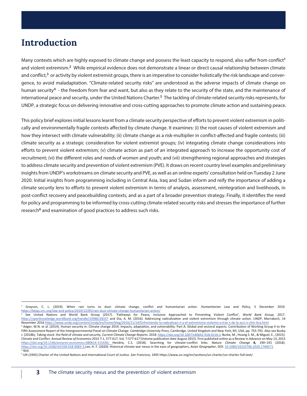## **Introduction**

Many contexts which are highly exposed to climate change and possess the least capacity to respond, also suffer from conflict<sup>1</sup> and violent extremism.<sup>2</sup> While empirical evidence does not demonstrate a linear or direct causal relationship between climate and conflict,<sup>3</sup> or activity by violent extremist groups, there is an imperative to consider holistically the risk landscape and convergence, to avoid maladaptation. "Climate-related security risks" are understood as the adverse impacts of climate change on human security<sup>4</sup> - the freedom from fear and want, but also as they relate to the security of the state, and the maintenance of international peace and security, under the United Nations Charter.5 The tackling of climate-related security risks represents, for UNDP, a strategic focus on delivering innovative and cross-cutting approaches to promote climate action and sustaining peace.

This policy brief explores initial lessons learnt from a climate security perspective of efforts to prevent violent extremism in politically and environmentally fragile contexts affected by climate change. It examines: (i) the root causes of violent extremism and how they intersect with climate vulnerability; (ii) climate change as a risk-multiplier in conflict-affected and fragile contexts; (iii) climate security as a strategic consideration for violent extremist groups; (iv) integrating climate change considerations into efforts to prevent violent extremism; (v) climate action as part of an integrated approach to increase the opportunity cost of recruitment; (vi) the different roles and needs of women and youth; and (vii) strengthening regional approaches and strategies to address climate security and prevention of violent extremism (PVE). It draws on recent country level examples and preliminary insights from UNDP's workstreams on climate security and PVE, as well as an online experts' consultation held on Tuesday 2 June 2020. Initial insights from programming including in Central Asia, Iraq and Sudan inform and reify the importance of adding a climate security lens to efforts to prevent violent extremism in terms of analysis, assessment, reintegration and livelihoods, in post-conflict recovery and peacebuilding contexts, and as a part of a broader prevention strategy. Finally, it identifies the need for policy and programming to be informed by cross-cutting climate-related security risks and stresses the importance of further research<sup>6</sup> and examination of good practices to address such risks.

<sup>1</sup> Grayson, C. L. (2019). When rain turns to dust: climate change, conflict and humanitarian action. *Humanitarian Law and Policy*, 5 December 2019. https://blogs.icrc.org/law-and-policy/2019/12/05/rain-dust-climate-change-humanitarian-action/ 2

See United Nations and World Bank Group (2017). 'Pathways for Peace, Inclusive Approached to Preventing Violent Conflict', *World Bank Group*, 2017. https://openknowledge.worldbank.org/handle/10986/28337 and Dia, A. M. (2016). Addressing radicalization and violent extremism through climate action. *UNDP*, Marrakech, 14 November 2016 https://www.undp.org/content/undp/en/home/blog/2016/11/14/Enfrentando-la-radicalizaci-n-y-el-extremismo-violento-a-trav-s-de-la-acci-n-clim-tica.html

<sup>&</sup>lt;sup>3</sup> Adger, W.N. et al. (2014). Human security in: Climate change 2014: Impacts, adaptation, and vulnerability. Part A: Global and sectoral aspects. Contribution of Working Group II to the Fifth Assessment Report of the Intergovernmental Panel on Climate Change. *Cambridge University Press*, Cambridge, United Kingdom and New York, NY, USA, pp. 755-791. Also see Busby J. (2018b). Taking stock: the field of climate and security. *Current Climate Change Reports*. 2018. https://doi.org/10.1007/s40641-018-0116-z; Burke, M., Hsiang S. M., & Miguel, E., (2015). Climate and Conflict. *Annual Review of Economics* 2015 7:1, 577-617, Vol. 7:577-617 (Volume publication date August 2015). First published online as a Review in Advance on May 13, 2015 https://doi.org/10.1146/annurev-economics-080614-115430; Hendrix, C.S. (2018). Searching for climate–conflict links. *Nature Climate Change* **8,** 190–191 (2018). https://doi.org/10.1038/s41558-018-0083-3 Lee, H. F. (2020): Historical climate-war nexus in the eyes of geographers, *Asian Geographer*, DOI: 10.1080/10225706.2020.1768571 4 Ibid.

<sup>5</sup> UN (1945) Charter of the United Nations and International Court of Justice. *San Francisco,* 1945 https://www.un.org/en/sections/un-charter/un-charter-full-text/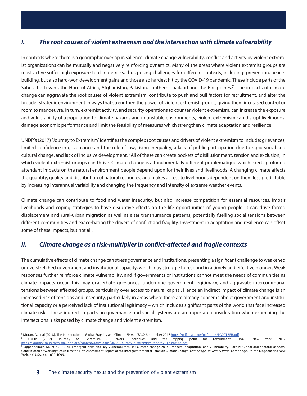#### *I. The root causes of violent extremism and the intersection with climate vulnerability*

In contexts where there is a geographic overlap in salience, climate change vulnerability, conflict and activity by violent extremist organizations can be mutually and negatively reinforcing dynamics. Many of the areas where violent extremist groups are most active suffer high exposure to climate risks, thus posing challenges for different contexts, including: prevention, peacebuilding, but also hard-won development gains and those also hardest hit by the COVID-19 pandemic. These include parts of the Sahel, the Levant, the Horn of Africa, Afghanistan, Pakistan, southern Thailand and the Philippines.7 The impacts of climate change can aggravate the root causes of violent extremism, contribute to push and pull factors for recruitment, and alter the broader strategic environment in ways that strengthen the power of violent extremist groups, giving them increased control or room to manoeuvre. In turn, extremist activity, and security operations to counter violent extremism, can increase the exposure and vulnerability of a population to climate hazards and in unstable environments, violent extremism can disrupt livelihoods, damage economic performance and limit the feasibility of measures which strengthen climate adaptation and resilience.

UNDP's (2017) 'Journey to Extremism' identifies the complex root causes and drivers of violent extremism to include: grievances, limited confidence in governance and the rule of law, rising inequality, a lack of public participation due to rapid social and cultural change, and lack of inclusive development.<sup>8</sup> All of these can create pockets of disillusionment, tension and exclusion, in which violent extremist groups can thrive. Climate change is a fundamentally different problematique which exerts profound attendant impacts on the natural environment people depend upon for their lives and livelihoods. A changing climate affects the quantity, quality and distribution of natural resources, and makes access to livelihoods dependent on them less predictable by increasing interannual variability and changing the frequency and intensity of extreme weather events.

Climate change can contribute to food and water insecurity, but also increase competition for essential resources, impair livelihoods and coping strategies to have disruptive effects on the life opportunities of young people. It can drive forced displacement and rural-urban migration as well as alter transhumance patterns, potentially fuelling social tensions between different communities and exacerbating the drivers of conflict and fragility. Investment in adaptation and resilience can offset some of these impacts, but not all.<sup>9</sup>

#### *II.* Climate change as a risk-multiplier in conflict-affected and fragile contexts

The cumulative effects of climate change can stress governance and institutions, presenting a significant challenge to weakened or overstretched government and institutional capacity, which may struggle to respond in a timely and effective manner. Weak responses further reinforce climate vulnerability, and if governments or institutions cannot meet the needs of communities as climate impacts occur, this may exacerbate grievances, undermine government legitimacy, and aggravate intercommunal tensions between affected groups, particularly over access to natural capital. Hence an indirect impact of climate change is an increased risk of tensions and insecurity, particularly in areas where there are already concerns about government and institutional capacity or a perceived lack of institutional legitimacy – which includes significant parts of the world that face increased climate risks. These indirect impacts on governance and social systems are an important consideration when examining the intersectional risks posed by climate change and violent extremism.

<sup>7</sup> Moran, A. et al (2018). The Intersection of Global Fragility and Climate Risks. *USAID*, September 2018 https://pdf.usaid.gov/pdf\_docs/PA00TBFH.pdf

<sup>8</sup> UNDP (2017). Journey to Extremism - Drivers, incentives and the tipping point for recruitment. *UNDP*, New York, 2017 https://journey-to-extremism.undp.org/content/downloads/UNDP-JourneyToExtremism-report-2017-english.pdf

<sup>9</sup> Oppenheimer, M. et al. (2014). Emergent risks and key vulnerabilities. In: Climate change 2014: Impacts, adaptation, and vulnerability. Part A: Global and sectoral aspects. Contribution of Working Group II to the Fifth Assessment Report of the Intergovernmental Panel on Climate Change. *Cambridge University Press*, Cambridge, United Kingdom and New York, NY, USA, pp. 1039-1099.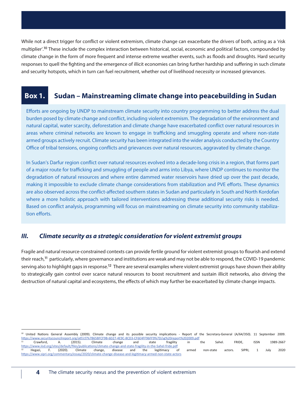While not a direct trigger for conflict or violent extremism, climate change can exacerbate the drivers of both, acting as a 'risk multiplier'.10 These include the complex interaction between historical, social, economic and political factors, compounded by climate change in the form of more frequent and intense extreme weather events, such as floods and droughts. Hard security responses to quell the fighting and the emergence of illicit economies can bring further hardship and suffering in such climate and security hotspots, which in turn can fuel recruitment, whether out of livelihood necessity or increased grievances.

## **Box 1. Sudan – Mainstreaming climate change into peacebuilding in Sudan**

Efforts are ongoing by UNDP to mainstream climate security into country programming to better address the dual burden posed by climate change and conflict, including violent extremism. The degradation of the environment and natural capital, water scarcity, deforestation and climate change have exacerbated conflict over natural resources in areas where criminal networks are known to engage in trafficking and smuggling operate and where non-state armed groups actively recruit. Climate security has been integrated into the wider analysis conducted by the Country Office of tribal tensions, ongoing conflicts and grievances over natural resources, aggravated by climate change.

In Sudan's Darfur region conflict over natural resources evolved into a decade-long crisis in a region, that forms part of a major route for trafficking and smuggling of people and arms into Libya, where UNDP continues to monitor the degradation of natural resources and where entire dammed water reservoirs have dried up over the past decade, making it impossible to exclude climate change considerations from stabilization and PVE efforts. These dynamics are also observed across the conflict-affected southern states in Sudan and particularly in South and North Kordofan where a more holistic approach with tailored interventions addressing these additional security risks is needed. Based on conflict analysis, programming will focus on mainstreaming on climate security into community stabilization efforts.

#### *III. Climate security as a strategic consideration for violent extremist groups*

Fragile and natural resource-constrained contexts can provide fertile ground for violent extremist groups to flourish and extend their reach,<sup>11</sup> particularly, where governance and institutions are weak and may not be able to respond, the COVID-19 pandemic serving also to highlight gaps in response.<sup>12</sup> There are several examples where violent extremist groups have shown their ability to strategically gain control over scarce natural resources to boost recruitment and sustain illicit networks, also driving the destruction of natural capital and ecosystems, the effects of which may further be exacerbated by climate change impacts.

<sup>10</sup> United Nations General Assembly (2009). Climate change and its possible security implications - Report of the Secretary-General (A/64/350). 11 September 2009. https://www.securitycouncilreport.org/atf/cf/%7B65BFCF9B-6D27-4E9C-8CD3-CF6E4FF96FF9%7D/sg%20report%202009.pdf<br>11 Crawford, A. (2015). Climate change and state fragility in the Sahel. FRIDE, ISSN 1989-2667 https://www.iisd.org/sites/default/files/publications/climate-change-and-state-fragility-in-the-Sahel-fride.pdf <sup>12</sup> Hegazi, F. (2020). Climate change, disease and the legitimacy of armed non-state actors. SIPRI, 1 July 2020 https://www.sipri.org/commentary/essay/2020/climate-change-disease-and-legitimacy-armed-non-state-actors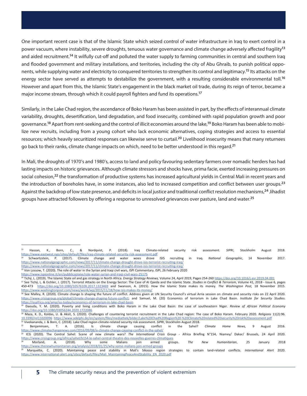One important recent case is that of the Islamic State which seized control of water infrastructure in Iraq to exert control in a power vacuum, where instability, severe droughts, tenuous water governance and climate change adversely affected fragility<sup>13</sup> and aided recruitment.<sup>14</sup> It wilfully cut-off and polluted the water supply to farming communities in central and southern Irag and flooded government and military installations, and territories, including the city of Abu Ghraib, to punish political opponents, while supplying water and electricity to conquered territories to strengthen its control and legitimacy.<sup>15</sup> Its attacks on the energy sector have served as attempts to destabilize the government, with a resulting considerable environmental toll.<sup>16</sup> However and apart from this, the Islamic State's engagement in the black market oil trade, during its reign of terror, became a major income stream, through which it could payroll fighters and fund its operations.<sup>17</sup>

Similarly, in the Lake Chad region, the ascendance of Boko Haram has been assisted in part, by the effects of interannual climate variability, droughts, desertification, land degradation, and food insecurity, combined with rapid population growth and poor governance.<sup>18</sup> Apart from rent-seeking and the control of illicit economies around the lake,<sup>19</sup> Boko Haram has been able to mobilize new recruits, including from a young cohort who lack economic alternatives, coping strategies and access to essential resources; which heavily securitized responses can likewise serve to curtail.<sup>20</sup> Livelihood insecurity means that many returnees go back to their ranks, climate change impacts on which, need to be better understood in this regard.<sup>21</sup>

In Mali, the droughts of 1970's and 1980's, access to land and policy favouring sedentary farmers over nomadic herders has had lasting impacts on historic grievances. Although climate stressors and shocks have, prima facie, exerted increasing pressures on social cohesion,<sup>22</sup> the transformation of productive systems has increased agricultural yields in Central Mali in recent years and the introduction of boreholes have, in some instances, also led to increased competition and conflict between user groups.<sup>23</sup> Against the backdrop of low state presence, and deficits in local justice and traditional conflict resolution mechanisms,<sup>24</sup> Jihadist groups have attracted followers by offering a response to unresolved grievances over pasture, land and water.<sup>25</sup>

<sup>13</sup> Hassan, K., Born, C., & Nordqvist, P. (2018). Iraq Climate-related security risk assessment. *SIPRI*, Stockholm August 2018. https://www.eastwest.ngo/sites/default/files/iraq-climate-related-security-risk-assessment.pdf

<sup>14</sup> Schwartzstein, P. (2017). Climate change and water woes drove ISIS recruiting in Iraq. *National Geographic*, 14 November 2017. https://www.nationalgeographic.com/news/2017/11/climate-change-drought-drove-isis-terrorist-recruiting-iraq/

https://www.nationalgeographic.com/news/2017/11/climate-change-drought-drove-isis-terrorist-recruiting-iraq/

<sup>15</sup> Von Lossow, T. (2020). The role of water in the Syrian and Iraqi civil wars, ISPI Commentary. ISPI, 26 February 2020 https://www.ispionline.it/en/pubblicazione/role-water-syrian-and-iraqi-civil-wars-25175

<sup>16</sup> Tichý, L. (2019). The Islamic State oil and gas strategy in North Africa. *Energy Strategy Reviews,* Volume 24, April 2019, Pages 254-260 https://doi.org/10.1016/j.esr.2019.04.001

<sup>&</sup>lt;sup>17</sup> See Tichý, L. & Eichler, J. (2017). Terrorist Attacks on the Energy Sector: The Case of Al Qaeda and the Islamic State. Studies in Conflict & Terrorism, Volume 41, 2018 - Issue 6, pages 450-473 https://doi.org/10.1080/1057610X.2017.1323469 and Swanson, A. (2015). How the Islamic State makes its money. *The Washington Post,* 18 November 2015. https://www.washingtonpost.com/news/wonk/wp/2015/11/18/how-isis-makes-its-money/

<sup>18</sup> See Malley, R. (2020). Climate change Is shaping the future of conflict. Address given at UN Security Council's virtual Arria session on climate and security risks on 22 April 2020. https://www.crisisgroup.org/global/climate-change-shaping-future-conflict; and Samuel, M. (20) Economics of terrorism in Lake Chad Basin. *Institute for Security Studies.* https://issafrica.org/amp/iss-today/economics-of-terrorism-in-lake-chad-basin<br><sup>19</sup> Daouda, Y. M. (2020). Poverty and living conditions with Boko Haram in the Lake Chad Basin: the case of southeastern Niger. Review of Afric

https://doi.org/10.1080/03056244.2020.1722086

<sup>20</sup> Maza, K. D., Koldas, U. & Aksit, S. (2020). Challenges of countering terrorist recruitment in the Lake Chad region: The case of Boko Haram. February 2020. *Religions* 11(2):96. 10.3390/rel11020096 https://www.adelphi.de/en/system/files/mediathek/bilder/Lake%20Chad%20Region%20-%20Climate%20related%20security%20risk%20assessment.pdf 21 Vivekananda, J. & Born, C. (2018). Lake Chad region climate-related security risk assessment. *SIPRI*, Stockholm August 2018.

<sup>22</sup> Benjaminsen, T. A. (2016). Is climate change causing conflict in the Sahel? *Climate Home News,* 9 August 2016.

https://www.climatechangenews.com/2016/09/08/is-climate-change-causing-conflict-in-the-sahel/<br><sup>23</sup> ICG (2020). The Central Sahel: Scene of new climate wars? *The International Crisis Group* - Africa Briefing N°154, Niamey/ https://www.crisisgroup.org/africa/sahel/b154-le-sahel-central-theatre-des-nouvelles-guerres-climatiques<br><sup>24</sup> Morland, A. (2018). Why some Malians join armed groups.

<sup>24</sup> Morland, A. (2018). Why some Malians join armed groups. *The New Humanitarian*, 25 January 2018 https://www.thenewhumanitarian.org/analysis/2018/01/25/why-some-malians-join-armed-groups

<sup>25</sup> Marquette, C. (2020). Maintaining peace and stability in Mali's Sikasso region strategies to contain land-related conflicts. *International Alert* 2020. https://www.international-alert.org/sites/default/files/Mali\_MaintainingPeaceAndStability\_EN\_2020.pdf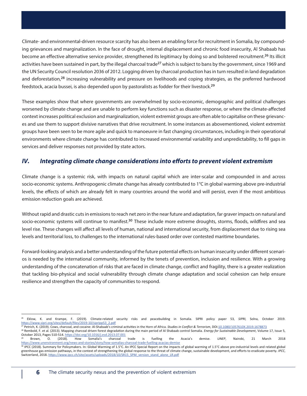Climate- and environmental-driven resource scarcity has also been an enabling force for recruitment in Somalia, by compounding grievances and marginalization. In the face of drought, internal displacement and chronic food insecurity, Al Shabaab has become an effective alternative service provider, strengthened its legitimacy by doing so and bolstered recruitment.<sup>26</sup> Its illicit activities have been sustained in part, by the illegal charcoal trade<sup>27</sup> which is subject to bans by the government, since 1969 and the UN Security Council resolution 2036 of 2012. Logging driven by charcoal production has in turn resulted in land degradation and deforestation,<sup>28</sup> increasing vulnerability and pressure on livelihoods and coping strategies, as the preferred hardwood feedstock, acacia bussei, is also depended upon by pastoralists as fodder for their livestock.29

These examples show that where governments are overwhelmed by socio-economic, demographic and political challenges worsened by climate change and are unable to perform key functions such as disaster response, or where the climate-affected context increases political exclusion and marginalization, violent extremist groups are often able to capitalise on these grievances and use them to support divisive narratives that drive recruitment. In some instances as abovementioned, violent extremist groups have been seen to be more agile and quick to manoeuvre in fast changing circumstances, including in their operational environments where climate change has contributed to increased environmental variability and unpredictability, to fill gaps in services and deliver responses not provided by state actors.

## *IV.* Integrating climate change considerations into efforts to prevent violent extremism

Climate change is a systemic risk, with impacts on natural capital which are inter-scalar and compounded in and across socio-economic systems. Anthropogenic climate change has already contributed to 1°C in global warming above pre-industrial levels, the effects of which are already felt in many countries around the world and will persist, even if the most ambitious emission reduction goals are achieved.

Without rapid and drastic cuts in emissions to reach net zero in the near future and adaptation, far graver impacts on natural and socio-economic systems will continue to manifest.<sup>30</sup> These include more extreme droughts, storms, floods, wildfires and sea level rise. These changes will affect all levels of human, national and international security, from displacement due to rising sea levels and territorial loss, to challenges to the international rules-based order over contested maritime boundaries.

Forward-looking analysis and a better understanding of the future potential effects on human insecurity under different scenarios is needed by the international community, informed by the tenets of prevention, inclusion and resilience. With a growing understanding of the concatenation of risks that are faced in climate change, conflict and fragility, there is a greater realization that tackling bio-physical and social vulnerability through climate change adaptation and social cohesion can help ensure resilience and strengthen the capacity of communities to respond.

<sup>26</sup> Eklow, K. and Krampe, F. (2019). Climate-related security risks and peacebuilding in Somalia. SIPRI policy paper 53, *SIPRI,* Solna, October 2019. https://www.sipri.org/sites/default/files/2019-10/sipripp53\_2.pdf

<sup>27</sup> Petrich, K. (2019). Cows, charcoal, and cocaine: Al-Shabaab's criminal activities in the Horn of Africa. *Studies in Conflict & Terrorism*, DOI:10.1080/1057610X.2019.1678873

<sup>28</sup> Rembold, F. et al. (2013). Mapping charcoal driven forest degradation during the main period of Al Shabaab control Somalia. *Energy for Sustainable Development*, Volume 17, Issue 5, October 2013, Pages 510-514. https://doi.org/10.1016/j.esd.2013.07.001

<sup>29</sup> Brown, O. (2018). How Somalia's charcoal trade is fuelling the Acacia's demise. *UNEP*, Nairobi, 21 March 2018 https://www.unenvironment.org/news-and-stories/story/how-somalias-charcoal-trade-fuelling-acacias-demise

<sup>30</sup> IPCC (2018). Summary for Policymakers. In: Global Warming of 1.5°C. An IPCC Special Report on the impacts of global warming of 1.5°C above pre-industrial levels and related global greenhouse gas emission pathways, in the context of strengthening the global response to the threat of climate change, sustainable development, and efforts to eradicate poverty. *IPCC*, Switzerland, 2018. https://www.ipcc.ch/site/assets/uploads/2018/10/SR15\_SPM\_version\_stand\_alone\_LR.pdf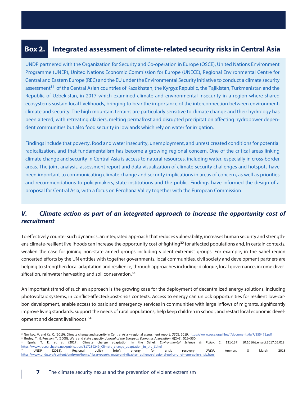#### **Box 2. Integrated assessment of climate-related security risks in Central Asia**

UNDP partnered with the Organization for Security and Co-operation in Europe (OSCE), United Nations Environment Programme (UNEP), United Nations Economic Commission for Europe (UNECE), Regional Environmental Centre for Central and Eastern Europe (REC) and the EU under the Environmental Security Initiative to conduct a climate security assessment<sup>31</sup> of the Central Asian countries of Kazakhstan, the Kyrgyz Republic, the Tajikistan, Turkmenistan and the Republic of Uzbekistan, in 2017 which examined climate and environmental insecurity in a region where shared ecosystems sustain local livelihoods, bringing to bear the importance of the interconnection between environment, climate and security. The high mountain terrains are particularly sensitive to climate change and their hydrology has been altered, with retreating glaciers, melting permafrost and disrupted precipitation affecting hydropower dependent communities but also food security in lowlands which rely on water for irrigation.

Findings include that poverty, food and water insecurity, unemployment, and unrest created conditions for potential radicalization, and that fundamentalism has become a growing regional concern. One of the critical areas linking climate change and security in Central Asia is access to natural resources, including water, especially in cross-border areas. The joint analysis, assessment report and data visualization of climate-security challenges and hotspots have been important to communicating climate change and security implications in areas of concern, as well as priorities and recommendations to policymakers, state institutions and the public. Findings have informed the design of a proposal for Central Asia, with a focus on Ferghana Valley together with the European Commission.

## *V. Climate action as part of an integrated approach to increase the opportunity cost of recruitment*

To effectively counter such dynamics, an integrated approach that reduces vulnerability, increases human security and strengthens climate-resilient livelihoods can increase the opportunity cost of fighting<sup>32</sup> for affected populations and, in certain contexts, weaken the case for joining non-state armed groups including violent extremist groups. For example, in the Sahel region concerted efforts by the UN entities with together governments, local communities, civil society and development partners are helping to strengthen local adaptation and resilience, through approaches including: dialogue, local governance, income diversification, rainwater harvesting and soil conservation.<sup>33</sup>

An important strand of such an approach is the growing case for the deployment of decentralized energy solutions, including photovoltaic systems, in conflict-affected/post-crisis contexts. Access to energy can unlock opportunities for resilient low-carbon development, enable access to basic and emergency services in communities with large inflows of migrants, significantly improve living standards, support the needs of rural populations, help keep children in school, and restart local economic development and decent livelihoods.<sup>34</sup>

<sup>31</sup> Novikov, V. and Ke, C. (2019). Climate change and security in Central Asia – regional assessment report. *OSCE*, 2019. https://www.osce.org/files/f/documents/b/7/355471.pdf 32 Besley, T., & Persson, T. (2008). Wars and state capacity. *Journal of the European Economic Association*, 6(2–3), 522–530.

<sup>33</sup> Epule, T. E. et al. (2017). Climate change adaptation in the Sahel. *Environmental Science & Policy*. 2. 121-137. 10.1016/j.envsci.2017.05.018. https://www.researchgate.net/publication/317239249\_Climate\_change\_adaptation\_in\_the\_Sahel<br><sup>34</sup> UNDP (2018). Regional policy brief: energy for 34 UNDP (2018). Regional policy brief: energy for crisis recovery. *UNDP*, Amman, 8 March 2018 https://www.undp.org/content/undp/en/home/librarypage/climate-and-disaster-resilience-/regional-policy-brief--energy-in-crisis.html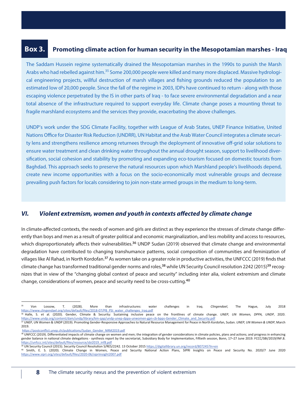#### **Box 3. Promoting climate action for human security in the Mesopotamian marshes - Iraq**

The Saddam Hussein regime systematically drained the Mesopotamian marshes in the 1990s to punish the Marsh Arabs who had rebelled against him.35 Some 200,000 people were killed and many more displaced. Massive hydrological engineering projects, willful destruction of marsh villages and fishing grounds reduced the population to an estimated low of 20,000 people. Since the fall of the regime in 2003, IDPs have continued to return - along with those escaping violence perpetrated by the IS in other parts of Iraq - to face severe environmental degradation and a near total absence of the infrastructure required to support everyday life. Climate change poses a mounting threat to fragile marshland ecosystems and the services they provide, exacerbating the above challenges.

UNDP's work under the SDG Climate Facility, together with League of Arab States, UNEP Finance Initiative, United Nations Office for Disaster Risk Reduction (UNDRR), UN Habitat and the Arab Water Council integrates a climate security lens and strengthens resilience among returnees through the deployment of innovative off-grid solar solutions to ensure water treatment and clean drinking water throughout the annual drought season, support to livelihood diversification, social cohesion and stability by promoting and expanding eco-tourism focused on domestic tourists from Baghdad. This approach seeks to preserve the natural resources upon which Marshland people's livelihoods depend, create new income opportunities with a focus on the socio-economically most vulnerable groups and decrease prevailing push factors for locals considering to join non-state armed groups in the medium to long-term.

#### **VI.** Violent extremism, women and youth in contexts affected by climate change

In climate-affected contexts, the needs of women and girls are distinct as they experience the stresses of climate change differently than boys and men as a result of greater political and economic marginalization, and less mobility and access to resources, which disproportionately affects their vulnerabilities.<sup>36</sup> UNDP Sudan (2019) observed that climate change and environmental degradation have contributed to changing transhumance patterns, social composition of communities and feminization of villages like Al Rahad, in North Kordofan.<sup>37</sup> As women take on a greater role in productive activities, the UNFCCC (2019) finds that climate change has transformed traditional gender norms and roles,<sup>38</sup> while UN Security Council resolution 2242 (2015)<sup>39</sup> recognizes that in view of the "changing global context of peace and security" including inter alia, violent extremism and climate change, considerations of women, peace and security need to be cross-cutting.40

<sup>35</sup> Von Lossow, T. (2028). More than infrastructures: water challenges in Iraq. *Clingendael*, The Hague, July 2018 https://www.clingendael.org/sites/default/files/2018-07/PB\_PSI\_water\_challenges\_Iraq.pdf

<sup>36</sup> Halle, S. et al. (2020). Gender, Climate & Security: Sustaining inclusive peace on the frontlines of climate change. *UNEP, UN Women, DPPA, UNDP*, 2020. https://www.undp.org/content/dam/undp/library/km-qap/undp-unep-dppa-unwomen-gpn-cb-bpps-Gender\_Climate\_and\_Security.pdf

<sup>37</sup> UNEP, UN Women & UNDP (2019). Promoting Gender-Responsive Approaches to Natural Resource Management for Peace in North Kordofan, Sudan. *UNEP, UN Women & UNDP*, March 2019.

https://postconflict.unep.ch/publications/Sudan\_Gender\_NRM2019.pdf

<sup>38</sup> UNFCCC (2019). Differentiated impacts of climate change on women and men; the integration of gender considerations in climate policies, plans and actions; and progress in enhancing gender balance in national climate delegations - synthesis report by the secretariat, Subsidiary Body for Implementation, Fiftieth session, Bonn, 17–27 June 2019. FCCC/SBI/2019/INF.8. https://unfccc.int/sites/default/files/resource/sbi2019\_inf8.pdf

<sup>&</sup>lt;sup>39</sup> UN Security Council (2015). Security Council Resolution S/RES/2242. 13 October 2015 https://digitallibrary.un.org/record/807245?ln=en

<sup>&</sup>lt;sup>40</sup> Smith, E. S. (2020). Climate Change in Women, Peace and Security National Action Plans, SIPRI Insights on Peace and Security No. 2020/7 June 2020 https://www.sipri.org/sites/default/files/2020-06/sipriinsight2007.pdf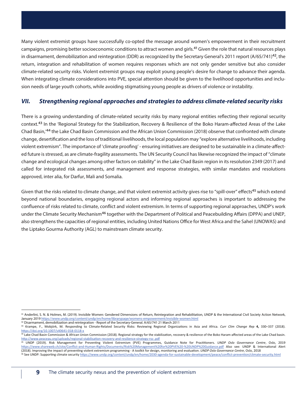Many violent extremist groups have successfully co-opted the message around women's empowerment in their recruitment campaigns, promising better socioeconomic conditions to attract women and girls.<sup>41</sup> Given the role that natural resources plays in disarmament, demobilization and reintegration (DDR) as recognized by the Secretary General's 2011 report  $(A/65/741)^{42}$ , the return, integration and rehabilitation of women requires responses which are not only gender sensitive but also consider climate-related security risks. Violent extremist groups may exploit young people's desire for change to advance their agenda. When integrating climate considerations into PVE, special attention should be given to the livelihood opportunities and inclusion needs of large youth cohorts, while avoiding stigmatising young people as drivers of violence or instability.

#### *VII. Strengthening regional approaches and strategies to address climate-related security risks*

There is a growing understanding of climate-related security risks by many regional entities reflecting their regional security context.<sup>43</sup> In the 'Regional Strategy for the Stabilization, Recovery & Resilience of the Boko Haram-affected Areas of the Lake Chad Basin,'44 the Lake Chad Basin Commission and the African Union Commission (2018) observe that confronted with climate change, desertification and the loss of traditional livelihoods, the local population may "explore alternative livelihoods, including violent extremism". The importance of 'climate proofing' - ensuring initiatives are designed to be sustainable in a climate-affected future is stressed, as are climate-fragility assessments. The UN Security Council has likewise recognized the impact of "climate change and ecological changes among other factors on stability" in the Lake Chad Basin region in its resolution 2349 (2017) and called for integrated risk assessments, and management and response strategies, with similar mandates and resolutions approved, inter alia, for Darfur, Mali and Somalia.

Given that the risks related to climate change, and that violent extremist activity gives rise to "spill-over" effects<sup>45</sup> which extend beyond national boundaries, engaging regional actors and informing regional approaches is important to addressing the confluence of risks related to climate, conflict and violent extremism. In terms of supporting regional approaches, UNDP's work under the Climate Security Mechanism<sup>46</sup> together with the Department of Political and Peacebuilding Affairs (DPPA) and UNEP, also strengthens the capacities of regional entities, including United Nations Office for West Africa and the Sahel (UNOWAS) and the Liptako Gourma Authority (AGL) to mainstream climate security.

<sup>&</sup>lt;sup>41</sup> Anderlini, S. N. & Holmes, M. (2019). Invisible Women: Gendered Dimensions of Return, Reintegration and Rehabilitation, UNDP & the International Civil Society Action Network, January 2019 https://www.undp.org/content/undp/en/home/librarypage/womens-empowerment/invisible-women.html

<sup>42</sup> Disarmament, demobilization and reintegration - Report of the Secretary-General. A/65/741 21 March 2011

<sup>43</sup> Krampe, F., Mobjörk, M. Responding to Climate-Related Security Risks: Reviewing Regional Organizations in Asia and Africa. *Curr Clim Change Rep* **4,** 330–337 (2018). https://doi.org/10.1007/s40641-018-0118-x

<sup>44</sup> Lake Chad Basin Commission & African Union Commission (2018). Regional strategy for the stabilization, recovery & resilience of the Boko Haram-affected areas of the Lake Chad basin. http://www.peaceau.org/uploads/regional-stabilisation-recovery-and-resilience-strategy-rss-.pdf

<sup>45</sup> UNDP (2019). Risk Management for Preventing Violent Extremism (PVE) Programmes, Guidance Note for Practitioners. *UNDP Oslo Governance Centre*, Oslo, 2019 https://www.shareweb.ch/site/Conflict-and-Human-Rights/Documents/Risk%20Management%20for%20PVE%20-%20UNDP%20Guidance.pdf Also see: UNDP & International Alert (2018). Improving the impact of preventing violent extremism programming - A toolkit for design, monitoring and evaluation. *UNDP Oslo Governance Centre*, Oslo, 2018

<sup>46</sup> See UNDP: Supporting climate security https://www.undp.org/content/undp/en/home/2030-agenda-for-sustainable-development/peace/conflict-prevention/climate-security.html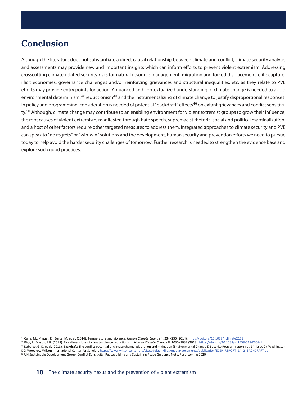# **Conclusion**

Although the literature does not substantiate a direct causal relationship between climate and conflict, climate security analysis and assessments may provide new and important insights which can inform efforts to prevent violent extremism. Addressing crosscutting climate-related security risks for natural resource management, migration and forced displacement, elite capture, illicit economies, governance challenges and/or reinforcing grievances and structural inequalities, etc. as they relate to PVE efforts may provide entry points for action. A nuanced and contextualized understanding of climate change is needed to avoid environmental determinism,<sup>47</sup> reductionism<sup>48</sup> and the instrumentalizing of climate change to justify disproportional responses. In policy and programming, consideration is needed of potential "backdraft" effects<sup>49</sup> on extant grievances and conflict sensitivity.<sup>50</sup> Although, climate change may contribute to an enabling environment for violent extremist groups to grow their influence; the root causes of violent extremism, manifested through hate speech, supremacist rhetoric, social and political marginalization, and a host of other factors require other targeted measures to address them. Integrated approaches to climate security and PVE can speak to "no regrets" or "win-win" solutions and the development, human security and prevention efforts we need to pursue today to help avoid the harder security challenges of tomorrow. Further research is needed to strengthen the evidence base and explore such good practices.

<sup>47</sup> Cane, M., Miguel, E., Burke, M. et al. (2014). Temperature and violence. *Nature Climate Change* 4, 234–235 (2014). https://doi.org/10.1038/nclimate2171

<sup>48</sup> Rigg, J., Mason, L.R. (2018). Five dimensions of climate science reductionism. *Nature Climate Change* 8, 1030–1032 (2018). https://doi.org/10.1038/s41558-018-0352-1 <sup>49</sup> Dabelko, G. D. et al. (2013). Backdraft: The conflict potential of climate change adaptation and mitigation (Environmental Change & Security Program report vol. 14, issue 2). Washington DC: Woodrow Wilson international Center for Scholars https://www.wilsoncenter.org/sites/default/files/media/documents/publication/ECSP\_REPORT\_14\_2\_BACKDRAFT.pdf<br><sup>50</sup> UN Sustainable Development Group. Conflict Sensitivity,